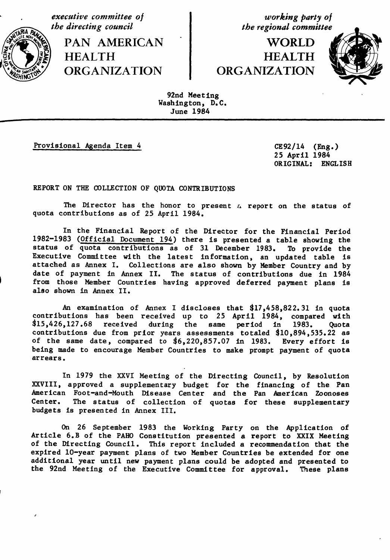executive committee of<br>
the directing council<br>
the regional committee

**theader is a contract of the contract in the region of the region of the region of the region of the region of the region of the region of the region of the region of the region of the region of the region of the region o** PAN AMERICAN I WORLD F HEALTH<br>CRGANIZATION ORGANIZATION

# ORGANIZATION ORGANIZATION



92*nd* N*ee*ti*ng* Wa*sh*i*n*gt*on*, D*.C. Ju*n*e* 1984

i i i i m IIII iii I II I imi ml iml i

**Provisional Agenda Item 4** CE92/14 (*Eng.*)

**2***5 Apr*i*l 198*4 *OR*IGINA*L:* EN*GL*I*S*H

*R*EP*ORT* ON *TH*E *COLL*EC*T*ION OF *Q*U*O*TA CON*T*RI*B*U*T*I*O*N*S*

*T*he *D*i*r*e*c*t*or* h*as* the h*onor* t*o* pr*e*sent a *r*ep*ort o*n t*h*e st*at*us *o*f quota contributions as of 25 April 1984.

In the Financial Report of the Director for the Financial Period 1982-1983 (Official Document 194) there is presented a table showing the status of quota contributions as of 31 December 1983. To provide the Executive Committee wi th the latest in formation, an updated table is attached as Annex I. Collections are also shown by Member Country and by date of payment in Annex II. The status of contributions due in 1984 ) from *t*h*ose* M**e**mb*e*r C*ou*ntri*e*s *h*aving approved *de*f*erred* pa*y*ment plans is al*s*o s*h*own in Annex II.

An *e*xamination of Ann*e*x I *d*i*s*clo*s***e***s* t*h*at 417,45*8*,822.*3*1 in quota contribution*s h*a*s* b*e***e**n r**e**c*e*iv*ed* up to **2**5 April 1984, compar*e*d wit*h*  $$15,426,127.68$  received during the same period in con**t**ributions due from prior years assessments **t**otaled \_10,894,535.22 as of the same date, compared to \_6,220,857.07 in 1983. Every effor**t** is being made to encourage Member Coun**t**ries to make prompt paymen**t** of quota *arrears*.

In 1979 the XXVI Meeting of the Directing Council, by Resolution XXVIII, approved a supplementary budget for the financing of the Pan American Foot-and-Mouth Disease Center and the Pan American Zoonoses Center. The status of collection of quotas for these supplementary budgets is presented in Annex III.

On 26 September 1983 the Working Party on the Application of Article 6.B of the PAHO Constitution presented a report to XXIX Meeting of the Directing Council. This report included a recommendation that the expired 10-year payment plans of two Member Countries be extended for one additional year until new payment plans could be adopted and presented to the 92nd Meeting of the Executive Committee for approval. These plans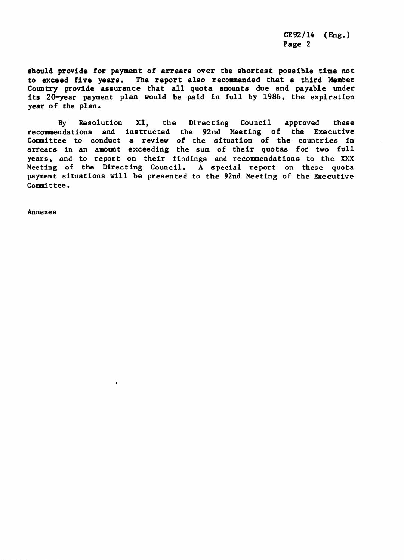CE92**/**14 (Eng.) Page 2

s*ho*ul*d* p*rov*i*de fo*r *p*ayment *o*f a*rre*a*rs over* t*he shor*t*es*t *poss*ibl*e* ti*me* not to *e*xc*eed* fiv*e* y**e**a*r*s*.* T*he* r*e*port al*s*o *re*comm*e*n*ded* t*h*at a t*h*ir*d* M*e*mb*e*r Country provid*e* a*ss*u*r*anc*e th*at all quota amounts du*e* a*n*d payabl*e* un*de*r its 20-*ye*a*r* payment plan woul*d* b*e* pai*d* t*n* full by 198*6,* t*he e*xpi*r*ation y*e*ar of t*he* plan.

*B*y R*e*s*o*lu*t*ion XI, th*e* Dir*e*cting Co*u*ncil approv*e*d t*he*s*e* recomm*e*ndations an*d* instruct*ed* t*he* 92n*d* M*ee*ting of t*he* Ex*e*cutiv*e* Committee to conduct a review of the s**i**tuation of the countries in arrears in an amount exceeding the sum of their quotas for two full years, and to report on their findings and recommendations to the XXX Meeting of the Directing Council. A special report on these quota payment situations will be presented to the 92nd Meeting of the Executive Commit tee.

A*n*n*e*x*e*s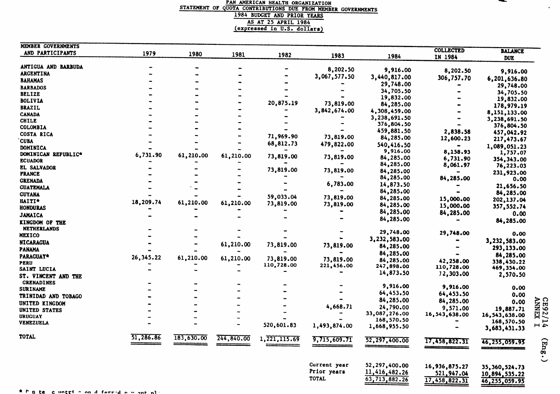#### **STATEMENT OF QUOTA CONTRIBUTIONS DUE FROM MEMBER GOVERNMENTS** 1984 BUDGET AND PRIOR YEARS AS AT 25 APRIL 1984

 $\bullet$ 

| MEMBER GOVERNMENTS  |           |            |            |                |              |               |                             |                              |                           |
|---------------------|-----------|------------|------------|----------------|--------------|---------------|-----------------------------|------------------------------|---------------------------|
| AND PARTICIPANTS    | 1979      | 1980       | 1981       | 1982           | 1983         | 1984          | <b>COLLECTED</b><br>IN 1984 | <b>BALANCE</b><br><b>DUE</b> |                           |
| ANTIGUA AND BARBUDA |           |            |            |                |              |               |                             |                              |                           |
| <b>ARGENTINA</b>    |           |            |            |                | 8,202.50     | 9,916.00      | 8,202.50                    | 9,916.00                     |                           |
| <b>BAHAMAS</b>      |           |            |            |                | 3,067,577.50 | 3,440,817.00  | 306,757.70                  | 6,201,636.80                 |                           |
|                     |           |            |            |                |              | 29,748.00     |                             | 29,748.00                    |                           |
| <b>BARBADOS</b>     |           |            |            |                |              | 34,705.50     |                             | 34,705.50                    |                           |
| <b>BELIZE</b>       |           |            |            |                |              | 19,832.00     | -                           | 19,832.00                    |                           |
| <b>BOLIVIA</b>      |           |            |            | 20,875.19      | 73,819.00    | 84,285.00     | ÷                           | 178,979.19                   |                           |
| <b>BRAZIL</b>       |           |            |            |                | 3,842,674.00 | 4,308,459.00  | $\bullet$                   |                              |                           |
| <b>CANADA</b>       |           |            |            |                |              | 3,238,691.50  |                             | 8,151,133.00                 |                           |
| <b>CHILE</b>        |           |            |            |                |              | 376,804.50    |                             | 3,238,691.50                 |                           |
| COLOMBIA            |           |            |            |                |              | 459,881.50    | 2,838.58                    | 376,804.50                   |                           |
| <b>COSTA RICA</b>   |           |            |            | 71,969.90      | 73,819.00    | 84,285.00     |                             | 457,042.92                   |                           |
| <b>CUBA</b>         |           |            |            | 68,812.73      | 479,822.00   |               | 12,600.23                   | 217,473.67                   |                           |
| <b>DOMINICA</b>     |           |            |            |                |              | 540,416.50    |                             | 1,089,051.23                 |                           |
| DOMINICAN REPUBLIC* | 6,731.90  | 61,210.00  | 61,210.00  | 73,819.00      |              | 9,916.00      | 8,158.93                    | 1,757.07                     |                           |
| <b>ECUADOR</b>      |           |            |            |                | 73,819.00    | 84,285.00     | 6,731.90                    | 354,343.00                   |                           |
| <b>EL SALVADOR</b>  |           |            |            |                |              | 84,285.00     | 8,061.97                    | 76,223.03                    |                           |
| <b>FRANCE</b>       |           |            |            | 73,819.00      | 73,819.00    | 84,285.00     |                             | 231,923.00                   |                           |
| <b>GRENADA</b>      |           |            |            |                |              | 84,285.00     | 84,285.00                   | 0.00                         |                           |
| <b>GUATEMALA</b>    |           |            |            |                | 6,783.00     | 14,873.50     |                             | 21,656.50                    |                           |
| <b>GUYANA</b>       |           |            |            |                |              | 84,285.00     |                             | 84,285.00                    |                           |
|                     |           |            |            | 59,033.04      | 73,819.00    | 84,285.00     | 15,000.00                   | 202,137.04                   |                           |
| HAITI*              | 18,209.74 | 61,210.00  | 61,210.00  | 73,819.00      | 73,819.00    | 84,285.00     | 15,000.00                   | 357,552.74                   |                           |
| <b>HONDURAS</b>     |           |            |            |                |              | 84,285.00     | 84,285.00                   |                              |                           |
| <b>JAMAICA</b>      |           |            |            |                |              | 84,285.00     |                             | 0.00                         |                           |
| KINGDOM OF THE      |           |            |            |                |              |               |                             | 84,285.00                    |                           |
| <b>NETHERLANDS</b>  |           |            |            |                |              | 29,748.00     | 29,748.00                   | 0.00                         |                           |
| <b>MEXICO</b>       |           |            |            |                |              | 3,232,583.00  |                             |                              |                           |
| <b>NICARAGUA</b>    |           |            | 61,210.00  | 73,819.00      | 73,819.00    | 84,285.00     |                             | 3,232,583.00                 |                           |
| <b>PANAMA</b>       |           |            |            |                |              |               |                             | 293,133.00                   |                           |
| <b>PARAGUAY*</b>    | 26,345.22 | 61,210.00  | 61,210.00  | 73,819.00      | 73,819.00    | 84,285.00     |                             | 84,285.00                    |                           |
| <b>PERU</b>         |           |            |            | 110,728.00     | 221,456.00   | 84,285.00     | 42,258.00                   | 338,430.22                   |                           |
| SAINT LUCIA         |           |            |            |                |              | 247,898.00    | 110,728.00                  | 469,354.00                   |                           |
| ST. VINCENT AND THE |           |            |            |                |              | 14,873.50     | 12,303.00                   | 2,570.50                     |                           |
| <b>GRENADINES</b>   |           |            |            |                |              |               |                             |                              |                           |
| <b>SURINAME</b>     |           |            |            |                |              | 9,916.00      | 9,916.00                    | 0.00                         |                           |
| TRINIDAD AND TOBAGO |           |            |            |                |              | 64,453.50     | 64,453.50                   | 0.00                         |                           |
| UNITED KINGDOM      |           |            |            |                |              | 84,285.00     | 84,285.00                   | 0.00                         | <b>CE92/14</b><br>ANNEX I |
| UNITED STATES       |           |            |            |                | 4,668.71     | 24,790.00     | 9,571.00                    | 19,887.71                    |                           |
| <b>URUGUAY</b>      |           |            |            |                |              | 33,087,276.00 | 16,543,638.00               | 16,543,638.00                |                           |
| <b>VENEZUELA</b>    |           |            |            |                |              | 168,570.50    |                             | 168,570.50                   |                           |
|                     |           |            |            | 520,601.83     | 1,493,874.00 | 1,668,955.50  |                             | 3,683,431.33                 |                           |
| <b>TOTAL</b>        | 51,286.86 | 183,630.00 | 244,840.00 | 1, 221, 115.69 | 9,715,609.71 | 52,297,400.00 | 17,458,822.31               |                              |                           |
|                     |           |            |            |                |              |               |                             | 46,255,059.95                | (mg.)                     |
|                     |           |            |            |                |              |               |                             |                              |                           |
|                     |           |            |            |                | Current year | 52,297,400.00 | 16,936,875.27               | 35,360,524.73                |                           |
|                     |           |            |            |                | Prior years  | 11,416,482.26 | 521,947.04                  | 10,894,535.22                |                           |
|                     |           |            |            |                | <b>TOTAL</b> | 63,713,882.26 | 17,458,822.31               | 46,255,059.95                |                           |
|                     |           |            |            |                |              |               |                             |                              |                           |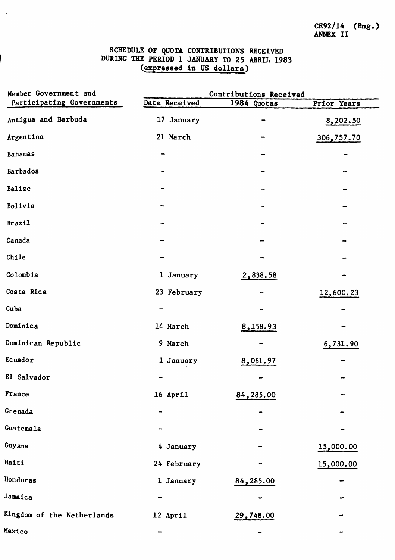$CE92/14$  (Eng.)<br>ANNEX II

 $\ddot{\phantom{a}}$ 

## SCHEDULE OF QUOTA CONTRIBUTIONS RECEIVED<br>DURING THE PERIOD 1 JANUARY TO 25 ABRIL 1983<br>(expressed in US dollars)

 $\langle \rangle_{\bullet}$ 

| Member Government and      | Contributions Received   |             |             |  |  |
|----------------------------|--------------------------|-------------|-------------|--|--|
| Participating Governments  | Date Received            | 1984 Quotas | Prior Years |  |  |
| Antigua and Barbuda        | 17 January               |             | 8,202.50    |  |  |
| Argentina                  | 21 March                 |             | 306,757.70  |  |  |
| <b>Bahamas</b>             |                          |             |             |  |  |
| Barbados                   |                          |             |             |  |  |
| Belize                     |                          |             |             |  |  |
| Bolivia                    |                          |             |             |  |  |
| <b>Brazil</b>              |                          |             |             |  |  |
| Canada                     |                          |             |             |  |  |
| Chile                      |                          |             |             |  |  |
| Colombia                   | 1 January                | 2,838.58    |             |  |  |
| Costa Rica                 | 23 February              |             | 12,600.23   |  |  |
| Cuba                       |                          |             |             |  |  |
| Dominica                   | 14 March                 | 8,158.93    |             |  |  |
| Dominican Republic         | 9 March                  |             | 6,731.90    |  |  |
| Ecuador                    | 1 January                | 8,061.97    |             |  |  |
| El Salvador                |                          |             |             |  |  |
| France                     | $16$ April               | 84,285.00   |             |  |  |
| Grenada                    | -                        | ٠           |             |  |  |
| Guatemala                  |                          |             |             |  |  |
| Guyana                     | 4 January                |             | 15,000.00   |  |  |
| Haiti                      | 24 February              |             | 15,000.00   |  |  |
| Honduras                   | 1 January                | 84,285.00   |             |  |  |
| Jamaica                    |                          |             |             |  |  |
| Kingdom of the Netherlands | 12 April                 | 29,748.00   |             |  |  |
| Mexico                     | $\overline{\phantom{0}}$ |             |             |  |  |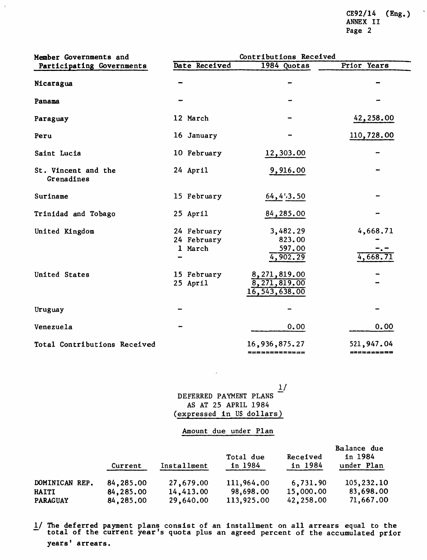CE9*2***/**14 (Eng.) ANNEX II Pag*e* 2

| Member Governments and            | Contributions Received                |                                               |                         |  |  |
|-----------------------------------|---------------------------------------|-----------------------------------------------|-------------------------|--|--|
| Participating Governments         | Date Received                         | 1984 Quotas                                   | Prior Years             |  |  |
| Nicaragua                         |                                       |                                               |                         |  |  |
| Panama                            |                                       |                                               |                         |  |  |
| Paraguay                          | 12 March                              |                                               | 42,258.00               |  |  |
| Peru                              | 16 January                            |                                               | 110,728.00              |  |  |
| Saint Lucia                       | 10 February                           | 12,303.00                                     |                         |  |  |
| St. Vincent and the<br>Grenadines | 24 April                              | 9,916.00                                      |                         |  |  |
| Suriname                          | 15 February                           | 64, 453.50                                    |                         |  |  |
| Trinidad and Tobago               | 25 April                              | 84,285.00                                     |                         |  |  |
| United Kingdom                    | 24 February<br>24 February<br>1 March | 3,482.29<br>823.00<br>597.00<br>4,902.29      | 4,668.71<br>4,668.71    |  |  |
| United States                     | 15 February<br>25 April               | 8,271,819.00<br>8,271,819.00<br>16,543,638.00 |                         |  |  |
| Uruguay                           |                                       |                                               |                         |  |  |
| Venezuela                         |                                       | 0.00                                          | 0.00                    |  |  |
| Total Contributions Received      |                                       | 16,936,875.27<br>============                 | 521,947.04<br>222222223 |  |  |

1**/** DEFERRED PAYMENT PLANS AS AT 25 APRIL 1984 (expressed in US dollars)

#### Amount due under Plan

|                 | Current   | Installment | Total due<br>in 1984 | Received<br>in 1984 | Balance due<br>in 1984<br>under Plan |
|-----------------|-----------|-------------|----------------------|---------------------|--------------------------------------|
| DOMINICAN REP.  | 84,285.00 | 27,679.00   | 111,964.00           | 6,731.90            | 105,232.10                           |
| <b>HAITI</b>    | 84,285.00 | 14,413.00   | 98,698.00            | 15,000.00           | 83,698.00                            |
| <b>PARAGUAY</b> | 84,285.00 | 29,640.00   | 113,925.00           | 42,258.00           | 71,667.00                            |

1**/** The deferred payment plans consist of an installment on all arrears equal to the total of the current year's quota plus an agreed percent of the accumulated prior years' arrears.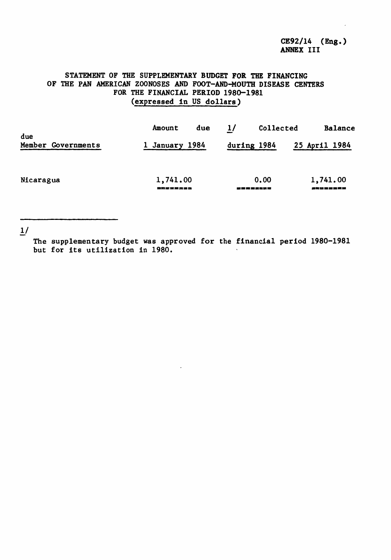#### *S*TAT*E*M*ENT* OF T*HE SU*PP*LE*ME*NTARY BUD*GET FOR *THE* FIN*AN*CING *OF* T*H*E P*AN* AMERIC*A*N *ZOO*NO*S*ES *A*N*D FOO*T**-***AND-*MO*UTH D*I*SEAS*E *CENTERS* F**O***R* T*H*E *F*I*NA*N*C*I*AL PER*I*OD* 19*80-*19*8*1 (*expressed in US dollars)*

| due                | Amount               | due | 1/          | Collected |                      | Balance       |
|--------------------|----------------------|-----|-------------|-----------|----------------------|---------------|
| Member Governments | 1 January 1984       |     | during 1984 |           |                      | 25 April 1984 |
| Nicaragua          | 1,741.00<br>盈買金盛館金盛會 |     | 堂堂堂堂堂堂堂堂    | 0.00      | 1,741.00<br>建气压震变震荡器 |               |

1**/**

The supplementary budget was approved for the financial period 1980-1981 but for its utilization in 1980.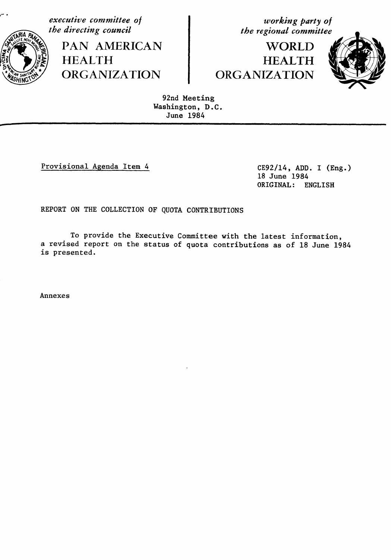**executive** committee of  $\begin{array}{c} \text{working party of} \\ \text{the direction } q \text{ is the same time.} \end{array}$ 

**the direction is the direction of the example of the example of the example of the example of the example of the example of the example of the example of the example of the example of the example of the example of the exa** PAN AMERICAN | WORLD ORGANIZATION ORGANIZATION



92nd Meeting Washington, D.C. June 1984

i ii ii i ii miii iii i \_iiiiI ii

Provisional Agenda Item 4 CE92**/**14, ADD. I (Eng.)

18 June 1984 ORIGINAL: ENGLISH

REPORT ON THE COLLECTION OF QUOTA CONTRIBUTIONS

To provide the Executive Committee with the latest information, a revised report on the status of quota contributions as of 18 June 1984 is presented.

Annexes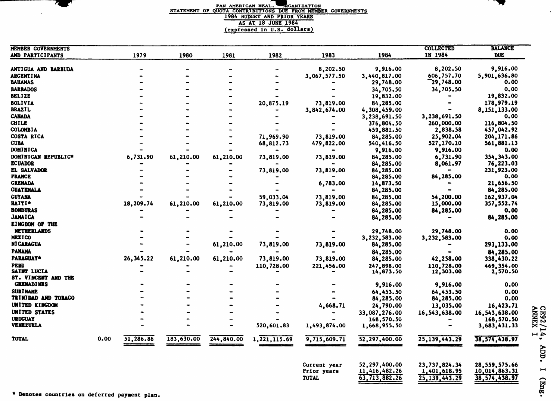#### $\blacksquare$  **PAN AMERICAN HEAL. EXAMIZATION** *STATEMENT OF qUOTA CONTRIBUTIONS DUE FROH MEMBER GOVERNMENTS 1984 BUDGET AND PRIOR YEARS* AS AT 18 JUNE 1984 (expressed in U.S. dollars)

| 1979<br>1982<br>1983<br>1984<br>IN 1984<br><b>DUE</b><br>1980<br>1981<br>9,916.00<br>8,202.50<br>8,202.50<br>9,916.00<br>ANTIGUA AND BARBUDA<br>606,757.70<br>5,901,636.80<br><b>ARGENTINA</b><br>3,067,577.50<br>3,440,817.00<br>$\mathbf{r}_{29,748.00}$<br>BAHAMAS<br>0.00<br>29,748.00<br>0.00<br>34,705.50<br><b>BARBADOS</b><br>34,705.50<br><b>BELTZE</b><br>19,832.00<br>19,832.00<br>178,979.19<br><b>BOLIVIA</b><br>73,819.00<br>20,875.19<br>84,285.00<br><b>BRAZIL</b><br>3,842,674.00<br>8,151,133.00<br>4,308,459.00<br><b>CANADA</b><br>3,238,691.50<br>0.00<br>3,238,691.50<br><b>CHILE</b><br>260,000.00<br>116,804.50<br>376,804.50<br><b>COLOMBIA</b><br>2,838.58<br>457,042.92<br>459,881.50<br>71,969.90<br>73,819.00<br>84,285.00<br>25,902.04<br>204,171.86<br>527,170.10<br>561,881.13<br>68,812.73<br>479,822.00<br>540,416.50<br>9,916.00<br>0.00<br>9,916.00<br>6,731.90<br>61,210.00<br>6,731.90<br>354, 343.00<br>61,210.00<br>73,819.00<br>73,819.00<br>84,285.00<br>8,061.97<br>76,223.03<br>84,285.00<br>73,819.00<br>73,819.00<br>84,285.00<br>231,923.00<br>84,285.00<br>0.00<br>84,285.00<br>21,656.50<br>6,783.00<br>14,873.50<br>84,285.00<br>84,285.00<br><b>GUYANA</b><br>59,033.04<br>73,819.00<br>54,200.00<br>162,937.04<br>84,285.00<br>18,209.74<br>61,210.00<br>61,210.00<br><b>HAITI*</b><br>73,819.00<br>15,000.00<br>357,552.74<br>73,819.00<br>84,285.00<br><b>HONDURAS</b><br>84,285.00<br>0.00<br>84,285.00<br><b>JAMAICA</b><br>84,285.00<br>84,285.00<br><b>KINGDOM OF THE</b><br><b>NETHERLANDS</b><br>29,748.00<br>29,748.00<br>0.00<br><b>MEXICO</b><br>3,232,583.00<br>3,232,583.00<br>0.00<br>61,210.00<br><b>NT CARAGUA</b><br>73,819.00<br>73,819.00<br>293,133.00<br>84,285.00<br><b>PANAMA</b><br>84,285.00<br>84,285.00<br>26,345.22<br>61,210.00<br>61,210.00<br><b>PARAGUAY*</b><br>73,819.00<br>73,819.00<br>84,285.00<br>42,258.00<br>338,430.22<br><b>PERU</b><br>110,728.00<br>110,728.00<br>469,354.00<br>221,456.00<br>247,898.00<br>SAINT LUCIA<br>12,303.00<br>14,873.50<br>2,570.50<br>ST. VINCENT AND THE<br><b>GRENADINES</b><br>9,916.00<br>0.00<br>9,916.00<br><b>SURINAME</b><br>64,453.50<br>0.00<br>64,453.50<br>TRINIDAD AND TOBAGO<br>0.00<br>84,285.00<br>84,285.00<br>UNITED KINGDOM<br>4,668.71<br>13,035.00<br>16,423.71<br>24,790.00<br>UNITED STATES<br>33,087,276.00<br>16,543,638.00<br>16,543,638.00<br><b>URUGUAY</b><br>168,570.50<br>168,570.50<br><b>VENEZUELA</b><br>520,601.83<br>1,493,874.00<br>$\overline{\phantom{a}}$<br>1,668,955.50<br>3,683,431.33<br>51,286.86<br>183,630.00<br><b>TOTAL</b><br>0.00<br>244,840.00<br>1, 221, 115.69<br>25,139,443.29<br>38,574,438.97<br>9,715,609.71<br>52,297,400.00<br>52,297,400.00<br>23,737,824.34<br>28,559,575.66<br>Current year<br>11,416,482.26<br>Prior years<br>1,401,618.95<br>10,014,863.31<br><b>TOTAL</b><br>63,713,882.26<br>25, 139, 443.29<br>38,574,438.97 | MEMBER GOVERNMENTS  |  |  |  | <b>COLLECTED</b> | <b>BALANCE</b> |  |
|-----------------------------------------------------------------------------------------------------------------------------------------------------------------------------------------------------------------------------------------------------------------------------------------------------------------------------------------------------------------------------------------------------------------------------------------------------------------------------------------------------------------------------------------------------------------------------------------------------------------------------------------------------------------------------------------------------------------------------------------------------------------------------------------------------------------------------------------------------------------------------------------------------------------------------------------------------------------------------------------------------------------------------------------------------------------------------------------------------------------------------------------------------------------------------------------------------------------------------------------------------------------------------------------------------------------------------------------------------------------------------------------------------------------------------------------------------------------------------------------------------------------------------------------------------------------------------------------------------------------------------------------------------------------------------------------------------------------------------------------------------------------------------------------------------------------------------------------------------------------------------------------------------------------------------------------------------------------------------------------------------------------------------------------------------------------------------------------------------------------------------------------------------------------------------------------------------------------------------------------------------------------------------------------------------------------------------------------------------------------------------------------------------------------------------------------------------------------------------------------------------------------------------------------------------------------------------------------------------------------------------------------------------------------------------------------------------------------------------------------------------------------------------------------------------------------------------------------------------------------------------------------------------------------------------|---------------------|--|--|--|------------------|----------------|--|
|                                                                                                                                                                                                                                                                                                                                                                                                                                                                                                                                                                                                                                                                                                                                                                                                                                                                                                                                                                                                                                                                                                                                                                                                                                                                                                                                                                                                                                                                                                                                                                                                                                                                                                                                                                                                                                                                                                                                                                                                                                                                                                                                                                                                                                                                                                                                                                                                                                                                                                                                                                                                                                                                                                                                                                                                                                                                                                                             | AND PARTICIPANTS    |  |  |  |                  |                |  |
|                                                                                                                                                                                                                                                                                                                                                                                                                                                                                                                                                                                                                                                                                                                                                                                                                                                                                                                                                                                                                                                                                                                                                                                                                                                                                                                                                                                                                                                                                                                                                                                                                                                                                                                                                                                                                                                                                                                                                                                                                                                                                                                                                                                                                                                                                                                                                                                                                                                                                                                                                                                                                                                                                                                                                                                                                                                                                                                             |                     |  |  |  |                  |                |  |
| CE92/14<br><b>ALD</b><br>۳                                                                                                                                                                                                                                                                                                                                                                                                                                                                                                                                                                                                                                                                                                                                                                                                                                                                                                                                                                                                                                                                                                                                                                                                                                                                                                                                                                                                                                                                                                                                                                                                                                                                                                                                                                                                                                                                                                                                                                                                                                                                                                                                                                                                                                                                                                                                                                                                                                                                                                                                                                                                                                                                                                                                                                                                                                                                                                  |                     |  |  |  |                  |                |  |
|                                                                                                                                                                                                                                                                                                                                                                                                                                                                                                                                                                                                                                                                                                                                                                                                                                                                                                                                                                                                                                                                                                                                                                                                                                                                                                                                                                                                                                                                                                                                                                                                                                                                                                                                                                                                                                                                                                                                                                                                                                                                                                                                                                                                                                                                                                                                                                                                                                                                                                                                                                                                                                                                                                                                                                                                                                                                                                                             |                     |  |  |  |                  |                |  |
|                                                                                                                                                                                                                                                                                                                                                                                                                                                                                                                                                                                                                                                                                                                                                                                                                                                                                                                                                                                                                                                                                                                                                                                                                                                                                                                                                                                                                                                                                                                                                                                                                                                                                                                                                                                                                                                                                                                                                                                                                                                                                                                                                                                                                                                                                                                                                                                                                                                                                                                                                                                                                                                                                                                                                                                                                                                                                                                             |                     |  |  |  |                  |                |  |
|                                                                                                                                                                                                                                                                                                                                                                                                                                                                                                                                                                                                                                                                                                                                                                                                                                                                                                                                                                                                                                                                                                                                                                                                                                                                                                                                                                                                                                                                                                                                                                                                                                                                                                                                                                                                                                                                                                                                                                                                                                                                                                                                                                                                                                                                                                                                                                                                                                                                                                                                                                                                                                                                                                                                                                                                                                                                                                                             |                     |  |  |  |                  |                |  |
|                                                                                                                                                                                                                                                                                                                                                                                                                                                                                                                                                                                                                                                                                                                                                                                                                                                                                                                                                                                                                                                                                                                                                                                                                                                                                                                                                                                                                                                                                                                                                                                                                                                                                                                                                                                                                                                                                                                                                                                                                                                                                                                                                                                                                                                                                                                                                                                                                                                                                                                                                                                                                                                                                                                                                                                                                                                                                                                             |                     |  |  |  |                  |                |  |
|                                                                                                                                                                                                                                                                                                                                                                                                                                                                                                                                                                                                                                                                                                                                                                                                                                                                                                                                                                                                                                                                                                                                                                                                                                                                                                                                                                                                                                                                                                                                                                                                                                                                                                                                                                                                                                                                                                                                                                                                                                                                                                                                                                                                                                                                                                                                                                                                                                                                                                                                                                                                                                                                                                                                                                                                                                                                                                                             |                     |  |  |  |                  |                |  |
|                                                                                                                                                                                                                                                                                                                                                                                                                                                                                                                                                                                                                                                                                                                                                                                                                                                                                                                                                                                                                                                                                                                                                                                                                                                                                                                                                                                                                                                                                                                                                                                                                                                                                                                                                                                                                                                                                                                                                                                                                                                                                                                                                                                                                                                                                                                                                                                                                                                                                                                                                                                                                                                                                                                                                                                                                                                                                                                             |                     |  |  |  |                  |                |  |
|                                                                                                                                                                                                                                                                                                                                                                                                                                                                                                                                                                                                                                                                                                                                                                                                                                                                                                                                                                                                                                                                                                                                                                                                                                                                                                                                                                                                                                                                                                                                                                                                                                                                                                                                                                                                                                                                                                                                                                                                                                                                                                                                                                                                                                                                                                                                                                                                                                                                                                                                                                                                                                                                                                                                                                                                                                                                                                                             |                     |  |  |  |                  |                |  |
|                                                                                                                                                                                                                                                                                                                                                                                                                                                                                                                                                                                                                                                                                                                                                                                                                                                                                                                                                                                                                                                                                                                                                                                                                                                                                                                                                                                                                                                                                                                                                                                                                                                                                                                                                                                                                                                                                                                                                                                                                                                                                                                                                                                                                                                                                                                                                                                                                                                                                                                                                                                                                                                                                                                                                                                                                                                                                                                             |                     |  |  |  |                  |                |  |
|                                                                                                                                                                                                                                                                                                                                                                                                                                                                                                                                                                                                                                                                                                                                                                                                                                                                                                                                                                                                                                                                                                                                                                                                                                                                                                                                                                                                                                                                                                                                                                                                                                                                                                                                                                                                                                                                                                                                                                                                                                                                                                                                                                                                                                                                                                                                                                                                                                                                                                                                                                                                                                                                                                                                                                                                                                                                                                                             |                     |  |  |  |                  |                |  |
|                                                                                                                                                                                                                                                                                                                                                                                                                                                                                                                                                                                                                                                                                                                                                                                                                                                                                                                                                                                                                                                                                                                                                                                                                                                                                                                                                                                                                                                                                                                                                                                                                                                                                                                                                                                                                                                                                                                                                                                                                                                                                                                                                                                                                                                                                                                                                                                                                                                                                                                                                                                                                                                                                                                                                                                                                                                                                                                             | COSTA RICA          |  |  |  |                  |                |  |
|                                                                                                                                                                                                                                                                                                                                                                                                                                                                                                                                                                                                                                                                                                                                                                                                                                                                                                                                                                                                                                                                                                                                                                                                                                                                                                                                                                                                                                                                                                                                                                                                                                                                                                                                                                                                                                                                                                                                                                                                                                                                                                                                                                                                                                                                                                                                                                                                                                                                                                                                                                                                                                                                                                                                                                                                                                                                                                                             | <b>CUBA</b>         |  |  |  |                  |                |  |
|                                                                                                                                                                                                                                                                                                                                                                                                                                                                                                                                                                                                                                                                                                                                                                                                                                                                                                                                                                                                                                                                                                                                                                                                                                                                                                                                                                                                                                                                                                                                                                                                                                                                                                                                                                                                                                                                                                                                                                                                                                                                                                                                                                                                                                                                                                                                                                                                                                                                                                                                                                                                                                                                                                                                                                                                                                                                                                                             | <b>DOMINICA</b>     |  |  |  |                  |                |  |
|                                                                                                                                                                                                                                                                                                                                                                                                                                                                                                                                                                                                                                                                                                                                                                                                                                                                                                                                                                                                                                                                                                                                                                                                                                                                                                                                                                                                                                                                                                                                                                                                                                                                                                                                                                                                                                                                                                                                                                                                                                                                                                                                                                                                                                                                                                                                                                                                                                                                                                                                                                                                                                                                                                                                                                                                                                                                                                                             | DOMINICAN REPUBLIC* |  |  |  |                  |                |  |
|                                                                                                                                                                                                                                                                                                                                                                                                                                                                                                                                                                                                                                                                                                                                                                                                                                                                                                                                                                                                                                                                                                                                                                                                                                                                                                                                                                                                                                                                                                                                                                                                                                                                                                                                                                                                                                                                                                                                                                                                                                                                                                                                                                                                                                                                                                                                                                                                                                                                                                                                                                                                                                                                                                                                                                                                                                                                                                                             | <b>ECUADOR</b>      |  |  |  |                  |                |  |
|                                                                                                                                                                                                                                                                                                                                                                                                                                                                                                                                                                                                                                                                                                                                                                                                                                                                                                                                                                                                                                                                                                                                                                                                                                                                                                                                                                                                                                                                                                                                                                                                                                                                                                                                                                                                                                                                                                                                                                                                                                                                                                                                                                                                                                                                                                                                                                                                                                                                                                                                                                                                                                                                                                                                                                                                                                                                                                                             | <b>EL SALVADOR</b>  |  |  |  |                  |                |  |
|                                                                                                                                                                                                                                                                                                                                                                                                                                                                                                                                                                                                                                                                                                                                                                                                                                                                                                                                                                                                                                                                                                                                                                                                                                                                                                                                                                                                                                                                                                                                                                                                                                                                                                                                                                                                                                                                                                                                                                                                                                                                                                                                                                                                                                                                                                                                                                                                                                                                                                                                                                                                                                                                                                                                                                                                                                                                                                                             | <b>FRANCE</b>       |  |  |  |                  |                |  |
|                                                                                                                                                                                                                                                                                                                                                                                                                                                                                                                                                                                                                                                                                                                                                                                                                                                                                                                                                                                                                                                                                                                                                                                                                                                                                                                                                                                                                                                                                                                                                                                                                                                                                                                                                                                                                                                                                                                                                                                                                                                                                                                                                                                                                                                                                                                                                                                                                                                                                                                                                                                                                                                                                                                                                                                                                                                                                                                             | <b>GRENADA</b>      |  |  |  |                  |                |  |
|                                                                                                                                                                                                                                                                                                                                                                                                                                                                                                                                                                                                                                                                                                                                                                                                                                                                                                                                                                                                                                                                                                                                                                                                                                                                                                                                                                                                                                                                                                                                                                                                                                                                                                                                                                                                                                                                                                                                                                                                                                                                                                                                                                                                                                                                                                                                                                                                                                                                                                                                                                                                                                                                                                                                                                                                                                                                                                                             | <b>GUATEMALA</b>    |  |  |  |                  |                |  |
|                                                                                                                                                                                                                                                                                                                                                                                                                                                                                                                                                                                                                                                                                                                                                                                                                                                                                                                                                                                                                                                                                                                                                                                                                                                                                                                                                                                                                                                                                                                                                                                                                                                                                                                                                                                                                                                                                                                                                                                                                                                                                                                                                                                                                                                                                                                                                                                                                                                                                                                                                                                                                                                                                                                                                                                                                                                                                                                             |                     |  |  |  |                  |                |  |
|                                                                                                                                                                                                                                                                                                                                                                                                                                                                                                                                                                                                                                                                                                                                                                                                                                                                                                                                                                                                                                                                                                                                                                                                                                                                                                                                                                                                                                                                                                                                                                                                                                                                                                                                                                                                                                                                                                                                                                                                                                                                                                                                                                                                                                                                                                                                                                                                                                                                                                                                                                                                                                                                                                                                                                                                                                                                                                                             |                     |  |  |  |                  |                |  |
|                                                                                                                                                                                                                                                                                                                                                                                                                                                                                                                                                                                                                                                                                                                                                                                                                                                                                                                                                                                                                                                                                                                                                                                                                                                                                                                                                                                                                                                                                                                                                                                                                                                                                                                                                                                                                                                                                                                                                                                                                                                                                                                                                                                                                                                                                                                                                                                                                                                                                                                                                                                                                                                                                                                                                                                                                                                                                                                             |                     |  |  |  |                  |                |  |
|                                                                                                                                                                                                                                                                                                                                                                                                                                                                                                                                                                                                                                                                                                                                                                                                                                                                                                                                                                                                                                                                                                                                                                                                                                                                                                                                                                                                                                                                                                                                                                                                                                                                                                                                                                                                                                                                                                                                                                                                                                                                                                                                                                                                                                                                                                                                                                                                                                                                                                                                                                                                                                                                                                                                                                                                                                                                                                                             |                     |  |  |  |                  |                |  |
|                                                                                                                                                                                                                                                                                                                                                                                                                                                                                                                                                                                                                                                                                                                                                                                                                                                                                                                                                                                                                                                                                                                                                                                                                                                                                                                                                                                                                                                                                                                                                                                                                                                                                                                                                                                                                                                                                                                                                                                                                                                                                                                                                                                                                                                                                                                                                                                                                                                                                                                                                                                                                                                                                                                                                                                                                                                                                                                             |                     |  |  |  |                  |                |  |
|                                                                                                                                                                                                                                                                                                                                                                                                                                                                                                                                                                                                                                                                                                                                                                                                                                                                                                                                                                                                                                                                                                                                                                                                                                                                                                                                                                                                                                                                                                                                                                                                                                                                                                                                                                                                                                                                                                                                                                                                                                                                                                                                                                                                                                                                                                                                                                                                                                                                                                                                                                                                                                                                                                                                                                                                                                                                                                                             |                     |  |  |  |                  |                |  |
|                                                                                                                                                                                                                                                                                                                                                                                                                                                                                                                                                                                                                                                                                                                                                                                                                                                                                                                                                                                                                                                                                                                                                                                                                                                                                                                                                                                                                                                                                                                                                                                                                                                                                                                                                                                                                                                                                                                                                                                                                                                                                                                                                                                                                                                                                                                                                                                                                                                                                                                                                                                                                                                                                                                                                                                                                                                                                                                             |                     |  |  |  |                  |                |  |
|                                                                                                                                                                                                                                                                                                                                                                                                                                                                                                                                                                                                                                                                                                                                                                                                                                                                                                                                                                                                                                                                                                                                                                                                                                                                                                                                                                                                                                                                                                                                                                                                                                                                                                                                                                                                                                                                                                                                                                                                                                                                                                                                                                                                                                                                                                                                                                                                                                                                                                                                                                                                                                                                                                                                                                                                                                                                                                                             |                     |  |  |  |                  |                |  |
|                                                                                                                                                                                                                                                                                                                                                                                                                                                                                                                                                                                                                                                                                                                                                                                                                                                                                                                                                                                                                                                                                                                                                                                                                                                                                                                                                                                                                                                                                                                                                                                                                                                                                                                                                                                                                                                                                                                                                                                                                                                                                                                                                                                                                                                                                                                                                                                                                                                                                                                                                                                                                                                                                                                                                                                                                                                                                                                             |                     |  |  |  |                  |                |  |
|                                                                                                                                                                                                                                                                                                                                                                                                                                                                                                                                                                                                                                                                                                                                                                                                                                                                                                                                                                                                                                                                                                                                                                                                                                                                                                                                                                                                                                                                                                                                                                                                                                                                                                                                                                                                                                                                                                                                                                                                                                                                                                                                                                                                                                                                                                                                                                                                                                                                                                                                                                                                                                                                                                                                                                                                                                                                                                                             |                     |  |  |  |                  |                |  |
|                                                                                                                                                                                                                                                                                                                                                                                                                                                                                                                                                                                                                                                                                                                                                                                                                                                                                                                                                                                                                                                                                                                                                                                                                                                                                                                                                                                                                                                                                                                                                                                                                                                                                                                                                                                                                                                                                                                                                                                                                                                                                                                                                                                                                                                                                                                                                                                                                                                                                                                                                                                                                                                                                                                                                                                                                                                                                                                             |                     |  |  |  |                  |                |  |
|                                                                                                                                                                                                                                                                                                                                                                                                                                                                                                                                                                                                                                                                                                                                                                                                                                                                                                                                                                                                                                                                                                                                                                                                                                                                                                                                                                                                                                                                                                                                                                                                                                                                                                                                                                                                                                                                                                                                                                                                                                                                                                                                                                                                                                                                                                                                                                                                                                                                                                                                                                                                                                                                                                                                                                                                                                                                                                                             |                     |  |  |  |                  |                |  |
|                                                                                                                                                                                                                                                                                                                                                                                                                                                                                                                                                                                                                                                                                                                                                                                                                                                                                                                                                                                                                                                                                                                                                                                                                                                                                                                                                                                                                                                                                                                                                                                                                                                                                                                                                                                                                                                                                                                                                                                                                                                                                                                                                                                                                                                                                                                                                                                                                                                                                                                                                                                                                                                                                                                                                                                                                                                                                                                             |                     |  |  |  |                  |                |  |
|                                                                                                                                                                                                                                                                                                                                                                                                                                                                                                                                                                                                                                                                                                                                                                                                                                                                                                                                                                                                                                                                                                                                                                                                                                                                                                                                                                                                                                                                                                                                                                                                                                                                                                                                                                                                                                                                                                                                                                                                                                                                                                                                                                                                                                                                                                                                                                                                                                                                                                                                                                                                                                                                                                                                                                                                                                                                                                                             |                     |  |  |  |                  |                |  |
|                                                                                                                                                                                                                                                                                                                                                                                                                                                                                                                                                                                                                                                                                                                                                                                                                                                                                                                                                                                                                                                                                                                                                                                                                                                                                                                                                                                                                                                                                                                                                                                                                                                                                                                                                                                                                                                                                                                                                                                                                                                                                                                                                                                                                                                                                                                                                                                                                                                                                                                                                                                                                                                                                                                                                                                                                                                                                                                             |                     |  |  |  |                  |                |  |
|                                                                                                                                                                                                                                                                                                                                                                                                                                                                                                                                                                                                                                                                                                                                                                                                                                                                                                                                                                                                                                                                                                                                                                                                                                                                                                                                                                                                                                                                                                                                                                                                                                                                                                                                                                                                                                                                                                                                                                                                                                                                                                                                                                                                                                                                                                                                                                                                                                                                                                                                                                                                                                                                                                                                                                                                                                                                                                                             |                     |  |  |  |                  |                |  |
|                                                                                                                                                                                                                                                                                                                                                                                                                                                                                                                                                                                                                                                                                                                                                                                                                                                                                                                                                                                                                                                                                                                                                                                                                                                                                                                                                                                                                                                                                                                                                                                                                                                                                                                                                                                                                                                                                                                                                                                                                                                                                                                                                                                                                                                                                                                                                                                                                                                                                                                                                                                                                                                                                                                                                                                                                                                                                                                             |                     |  |  |  |                  |                |  |
|                                                                                                                                                                                                                                                                                                                                                                                                                                                                                                                                                                                                                                                                                                                                                                                                                                                                                                                                                                                                                                                                                                                                                                                                                                                                                                                                                                                                                                                                                                                                                                                                                                                                                                                                                                                                                                                                                                                                                                                                                                                                                                                                                                                                                                                                                                                                                                                                                                                                                                                                                                                                                                                                                                                                                                                                                                                                                                                             |                     |  |  |  |                  |                |  |
|                                                                                                                                                                                                                                                                                                                                                                                                                                                                                                                                                                                                                                                                                                                                                                                                                                                                                                                                                                                                                                                                                                                                                                                                                                                                                                                                                                                                                                                                                                                                                                                                                                                                                                                                                                                                                                                                                                                                                                                                                                                                                                                                                                                                                                                                                                                                                                                                                                                                                                                                                                                                                                                                                                                                                                                                                                                                                                                             |                     |  |  |  |                  |                |  |
|                                                                                                                                                                                                                                                                                                                                                                                                                                                                                                                                                                                                                                                                                                                                                                                                                                                                                                                                                                                                                                                                                                                                                                                                                                                                                                                                                                                                                                                                                                                                                                                                                                                                                                                                                                                                                                                                                                                                                                                                                                                                                                                                                                                                                                                                                                                                                                                                                                                                                                                                                                                                                                                                                                                                                                                                                                                                                                                             |                     |  |  |  |                  |                |  |
|                                                                                                                                                                                                                                                                                                                                                                                                                                                                                                                                                                                                                                                                                                                                                                                                                                                                                                                                                                                                                                                                                                                                                                                                                                                                                                                                                                                                                                                                                                                                                                                                                                                                                                                                                                                                                                                                                                                                                                                                                                                                                                                                                                                                                                                                                                                                                                                                                                                                                                                                                                                                                                                                                                                                                                                                                                                                                                                             |                     |  |  |  |                  |                |  |
|                                                                                                                                                                                                                                                                                                                                                                                                                                                                                                                                                                                                                                                                                                                                                                                                                                                                                                                                                                                                                                                                                                                                                                                                                                                                                                                                                                                                                                                                                                                                                                                                                                                                                                                                                                                                                                                                                                                                                                                                                                                                                                                                                                                                                                                                                                                                                                                                                                                                                                                                                                                                                                                                                                                                                                                                                                                                                                                             |                     |  |  |  |                  |                |  |
|                                                                                                                                                                                                                                                                                                                                                                                                                                                                                                                                                                                                                                                                                                                                                                                                                                                                                                                                                                                                                                                                                                                                                                                                                                                                                                                                                                                                                                                                                                                                                                                                                                                                                                                                                                                                                                                                                                                                                                                                                                                                                                                                                                                                                                                                                                                                                                                                                                                                                                                                                                                                                                                                                                                                                                                                                                                                                                                             |                     |  |  |  |                  |                |  |
|                                                                                                                                                                                                                                                                                                                                                                                                                                                                                                                                                                                                                                                                                                                                                                                                                                                                                                                                                                                                                                                                                                                                                                                                                                                                                                                                                                                                                                                                                                                                                                                                                                                                                                                                                                                                                                                                                                                                                                                                                                                                                                                                                                                                                                                                                                                                                                                                                                                                                                                                                                                                                                                                                                                                                                                                                                                                                                                             |                     |  |  |  |                  |                |  |
|                                                                                                                                                                                                                                                                                                                                                                                                                                                                                                                                                                                                                                                                                                                                                                                                                                                                                                                                                                                                                                                                                                                                                                                                                                                                                                                                                                                                                                                                                                                                                                                                                                                                                                                                                                                                                                                                                                                                                                                                                                                                                                                                                                                                                                                                                                                                                                                                                                                                                                                                                                                                                                                                                                                                                                                                                                                                                                                             |                     |  |  |  |                  |                |  |
|                                                                                                                                                                                                                                                                                                                                                                                                                                                                                                                                                                                                                                                                                                                                                                                                                                                                                                                                                                                                                                                                                                                                                                                                                                                                                                                                                                                                                                                                                                                                                                                                                                                                                                                                                                                                                                                                                                                                                                                                                                                                                                                                                                                                                                                                                                                                                                                                                                                                                                                                                                                                                                                                                                                                                                                                                                                                                                                             |                     |  |  |  |                  |                |  |
|                                                                                                                                                                                                                                                                                                                                                                                                                                                                                                                                                                                                                                                                                                                                                                                                                                                                                                                                                                                                                                                                                                                                                                                                                                                                                                                                                                                                                                                                                                                                                                                                                                                                                                                                                                                                                                                                                                                                                                                                                                                                                                                                                                                                                                                                                                                                                                                                                                                                                                                                                                                                                                                                                                                                                                                                                                                                                                                             |                     |  |  |  |                  |                |  |
|                                                                                                                                                                                                                                                                                                                                                                                                                                                                                                                                                                                                                                                                                                                                                                                                                                                                                                                                                                                                                                                                                                                                                                                                                                                                                                                                                                                                                                                                                                                                                                                                                                                                                                                                                                                                                                                                                                                                                                                                                                                                                                                                                                                                                                                                                                                                                                                                                                                                                                                                                                                                                                                                                                                                                                                                                                                                                                                             |                     |  |  |  |                  |                |  |

*\* Denotes countr***i***es on* d*eferred* pa*yment p*l*an. 0*q

 $\epsilon$ 

 $\frac{CES2/14}{\text{ANKEX}}$  I<br>ANNEX I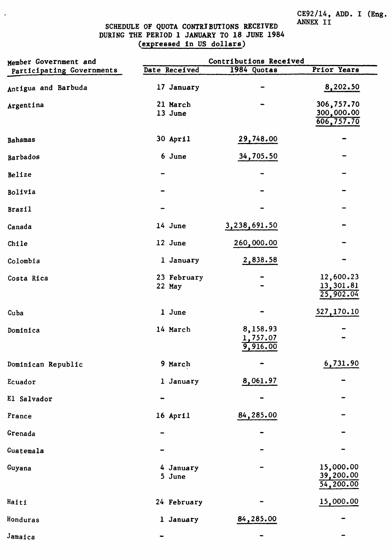CE92/14, ADD. I (Eng.<br>ANNEX II

### SCHEDULE OF QUOTA CONTRIBUTIONS RECEIVED<br>DURING THE PERIOD 1 JANUARY TO 18 JUNE 1984 (expressed in US dollars)

 $\ddot{\phantom{1}}$ 

| Member Government and     | Contributions Received |                                  |                                        |  |  |
|---------------------------|------------------------|----------------------------------|----------------------------------------|--|--|
| Participating Governments | Date Received          | 1984 Quotas                      | Prior Years                            |  |  |
| Antigua and Barbuda       | 17 January             |                                  | 8,202.50                               |  |  |
| Argentina                 | 21 March<br>13 June    |                                  | 306,757.70<br>300,000.00<br>606,757.70 |  |  |
| Bahamas                   | 30 April               | 29,748.00                        |                                        |  |  |
| Barbados                  | 6 June                 | 34,705.50                        |                                        |  |  |
| Belize                    |                        |                                  |                                        |  |  |
| Bolivia                   |                        |                                  |                                        |  |  |
| <b>Brazil</b>             |                        |                                  |                                        |  |  |
| Canada                    | 14 June                | 3,238,691.50                     |                                        |  |  |
| Chile                     | 12 June                | 260,000.00                       |                                        |  |  |
| Colombia                  | 1 January              | 2,838.58                         |                                        |  |  |
| Costa Rica                | 23 February<br>22 May  |                                  | 12,600.23<br>13,301.81<br>25,902.04    |  |  |
| Cuba                      | 1 June                 |                                  | 527,170.10                             |  |  |
| Dominica                  | 14 March               | 8,158.93<br>1,757.07<br>9,916.00 |                                        |  |  |
| Dominican Republic        | 9 March                |                                  | 6,731.90                               |  |  |
| Ecuador                   | 1 January              | 8,061.97                         |                                        |  |  |
| El Salvador               |                        |                                  |                                        |  |  |
| France                    | 16 April               | 84,285.00                        |                                        |  |  |
| Grenada                   |                        |                                  |                                        |  |  |
| Guatemala                 |                        |                                  |                                        |  |  |
| Guyana                    | 4 January<br>5 June    |                                  | 15,000.00<br>39,200.00<br>54,200.00    |  |  |
| Haiti                     | 24 February            |                                  | 15,000.00                              |  |  |
| Honduras                  | 1 January              | 84,285.00                        |                                        |  |  |
| Jamaica                   |                        |                                  |                                        |  |  |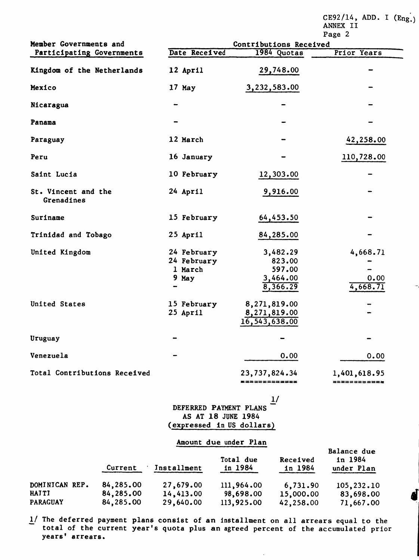CE92/14, ADD. I  $(Eng.)$ ANNEX II

|                                   |                                                | Page 2                                               |                              |  |  |
|-----------------------------------|------------------------------------------------|------------------------------------------------------|------------------------------|--|--|
| Member Governments and            |                                                | Contributions Received                               |                              |  |  |
| Participating Governments         | Date Received                                  | 1984 Quotas                                          | Prior Years                  |  |  |
| Kingdom of the Netherlands        | 12 April                                       | 29,748.00                                            |                              |  |  |
| Mexico                            | 17 May                                         | 3,232,583.00                                         |                              |  |  |
| Nicaragua                         |                                                |                                                      |                              |  |  |
| Panama                            |                                                |                                                      |                              |  |  |
| Paraguay                          | 12 March                                       |                                                      | 42,258.00                    |  |  |
| Peru                              | 16 January                                     |                                                      | 110,728.00                   |  |  |
| Saint Lucia                       | 10 February                                    | 12,303.00                                            |                              |  |  |
| St. Vincent and the<br>Grenadines | 24 April                                       | 9,916.00                                             |                              |  |  |
| Suriname                          | 15 February                                    | 64,453.50                                            |                              |  |  |
| Trinidad and Tobago               | 25 April                                       | 84,285.00                                            |                              |  |  |
| United Kingdom                    | 24 February<br>24 February<br>1 March<br>9 May | 3,482.29<br>823.00<br>597.00<br>3,464.00<br>8,366.29 | 4,668.71<br>0.00<br>4,668.71 |  |  |
| United States                     | 15 February<br>25 April                        | 8,271,819.00<br>8,271,819.00<br>16,543,638.00        |                              |  |  |
| Uruguay                           |                                                |                                                      |                              |  |  |
| Venezuela                         |                                                | 0.00                                                 | 0.00                         |  |  |
| Total Contributions Received      |                                                | 23,737,824.34<br><b>*************</b>                | 1,401,618.95<br>============ |  |  |
|                                   |                                                | $\blacksquare$                                       |                              |  |  |

 $\overline{\tau}$ DEFERRED PAYMENT PLANS AS AT 18 JUNE 1984 (expressed in US dollars)

#### Amount due under Plan

|                 | Current   | Installment | Total due<br>in 1984 | Received<br>in 1984 | Balance due<br>in 1984<br>under Plan |
|-----------------|-----------|-------------|----------------------|---------------------|--------------------------------------|
| DOMINICAN REP.  | 84,285.00 | 27,679.00   | 111,964.00           | 6,731.90            | 105,232.10                           |
| <b>HAITI</b>    | 84,285.00 | 14,413.00   | 98,698.00            | 15,000.00           | 83,698.00                            |
| <b>PARAGUAY</b> | 84,285.00 | 29,640.00   | 113,925.00           | 42,258.00           | 71,667.00                            |

 $1/$  The deferred payment plans consist of an installment on all arrears equal to the total of the current year's quota plus an agreed percent of the accumulated prior years' arrears.

 $\ddot{\phantom{a}}$